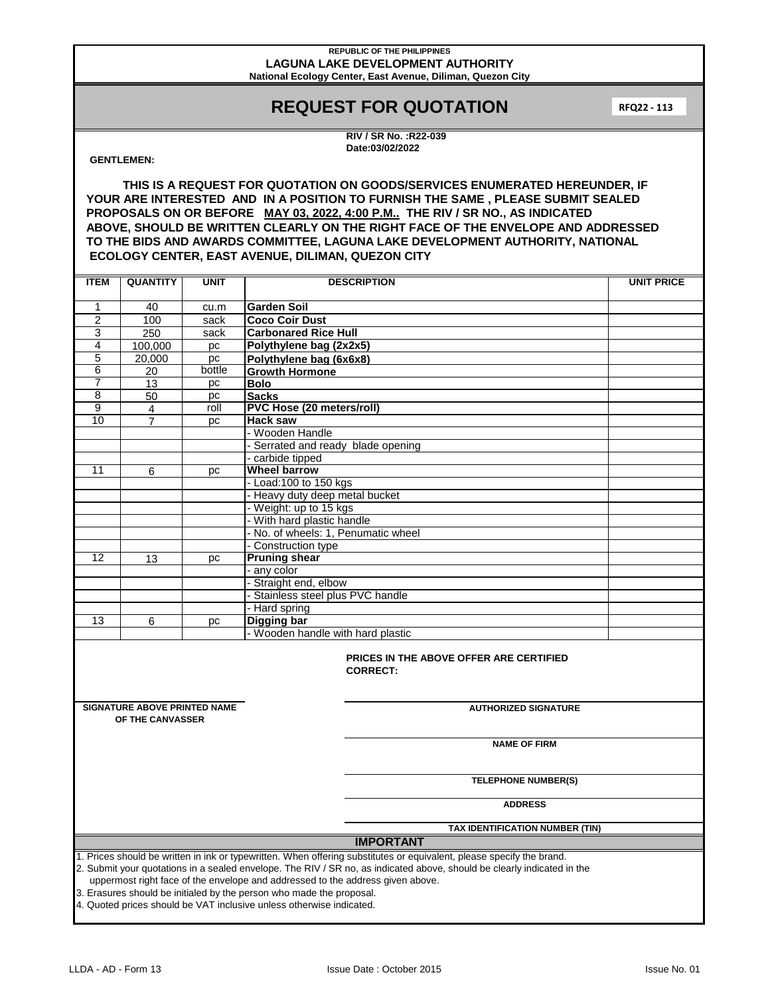#### **REPUBLIC OF THE PHILIPPINES LAGUNA LAKE DEVELOPMENT AUTHORITY National Ecology Center, East Avenue, Diliman, Quezon City**

## **REQUEST FOR QUOTATION**

**RFQ22 - 113**

**RIV / SR No. :R22-039 Date:03/02/2022**

### **GENTLEMEN:**

**THIS IS A REQUEST FOR QUOTATION ON GOODS/SERVICES ENUMERATED HEREUNDER, IF YOUR ARE INTERESTED AND IN A POSITION TO FURNISH THE SAME , PLEASE SUBMIT SEALED PROPOSALS ON OR BEFORE MAY 03, 2022, 4:00 P.M.. THE RIV / SR NO., AS INDICATED ABOVE, SHOULD BE WRITTEN CLEARLY ON THE RIGHT FACE OF THE ENVELOPE AND ADDRESSED TO THE BIDS AND AWARDS COMMITTEE, LAGUNA LAKE DEVELOPMENT AUTHORITY, NATIONAL ECOLOGY CENTER, EAST AVENUE, DILIMAN, QUEZON CITY**

| <b>ITEM</b>                                                                                                                                                                                                                                                                                                                                                                                                                                                                        | <b>QUANTITY</b> | <b>UNIT</b> | <b>DESCRIPTION</b>                        | <b>UNIT PRICE</b> |  |  |  |  |
|------------------------------------------------------------------------------------------------------------------------------------------------------------------------------------------------------------------------------------------------------------------------------------------------------------------------------------------------------------------------------------------------------------------------------------------------------------------------------------|-----------------|-------------|-------------------------------------------|-------------------|--|--|--|--|
|                                                                                                                                                                                                                                                                                                                                                                                                                                                                                    |                 |             |                                           |                   |  |  |  |  |
| 1                                                                                                                                                                                                                                                                                                                                                                                                                                                                                  | 40              | cu.m        | <b>Garden Soil</b>                        |                   |  |  |  |  |
| $\overline{2}$                                                                                                                                                                                                                                                                                                                                                                                                                                                                     | 100             | sack        | <b>Coco Coir Dust</b>                     |                   |  |  |  |  |
| 3                                                                                                                                                                                                                                                                                                                                                                                                                                                                                  | 250             | sack        | <b>Carbonared Rice Hull</b>               |                   |  |  |  |  |
| 4<br>5                                                                                                                                                                                                                                                                                                                                                                                                                                                                             | 100,000         | pc          | Polythylene bag (2x2x5)                   |                   |  |  |  |  |
| 6                                                                                                                                                                                                                                                                                                                                                                                                                                                                                  | 20,000          | pc          | Polythylene bag (6x6x8)                   |                   |  |  |  |  |
| $\overline{7}$                                                                                                                                                                                                                                                                                                                                                                                                                                                                     | 20              | bottle      | <b>Growth Hormone</b>                     |                   |  |  |  |  |
| 8                                                                                                                                                                                                                                                                                                                                                                                                                                                                                  | 13              | pc          | <b>Bolo</b>                               |                   |  |  |  |  |
| 9                                                                                                                                                                                                                                                                                                                                                                                                                                                                                  | 50<br>4         | рc<br>roll  | <b>Sacks</b><br>PVC Hose (20 meters/roll) |                   |  |  |  |  |
| 10                                                                                                                                                                                                                                                                                                                                                                                                                                                                                 |                 | pc          | <b>Hack saw</b>                           |                   |  |  |  |  |
|                                                                                                                                                                                                                                                                                                                                                                                                                                                                                    | 7               |             | - Wooden Handle                           |                   |  |  |  |  |
|                                                                                                                                                                                                                                                                                                                                                                                                                                                                                    |                 |             | - Serrated and ready blade opening        |                   |  |  |  |  |
|                                                                                                                                                                                                                                                                                                                                                                                                                                                                                    |                 |             | - carbide tipped                          |                   |  |  |  |  |
| 11                                                                                                                                                                                                                                                                                                                                                                                                                                                                                 | 6               |             | <b>Wheel barrow</b>                       |                   |  |  |  |  |
|                                                                                                                                                                                                                                                                                                                                                                                                                                                                                    |                 | pc          | - Load:100 to 150 kgs                     |                   |  |  |  |  |
|                                                                                                                                                                                                                                                                                                                                                                                                                                                                                    |                 |             | - Heavy duty deep metal bucket            |                   |  |  |  |  |
|                                                                                                                                                                                                                                                                                                                                                                                                                                                                                    |                 |             | - Weight: up to 15 kgs                    |                   |  |  |  |  |
|                                                                                                                                                                                                                                                                                                                                                                                                                                                                                    |                 |             | With hard plastic handle                  |                   |  |  |  |  |
|                                                                                                                                                                                                                                                                                                                                                                                                                                                                                    |                 |             | No. of wheels: 1, Penumatic wheel         |                   |  |  |  |  |
|                                                                                                                                                                                                                                                                                                                                                                                                                                                                                    |                 |             | Construction type                         |                   |  |  |  |  |
| 12                                                                                                                                                                                                                                                                                                                                                                                                                                                                                 | 13              | pc          | <b>Pruning shear</b>                      |                   |  |  |  |  |
|                                                                                                                                                                                                                                                                                                                                                                                                                                                                                    |                 |             | - any color                               |                   |  |  |  |  |
|                                                                                                                                                                                                                                                                                                                                                                                                                                                                                    |                 |             | Straight end, elbow                       |                   |  |  |  |  |
|                                                                                                                                                                                                                                                                                                                                                                                                                                                                                    |                 |             | Stainless steel plus PVC handle           |                   |  |  |  |  |
|                                                                                                                                                                                                                                                                                                                                                                                                                                                                                    |                 |             | - Hard spring                             |                   |  |  |  |  |
| $\overline{13}$                                                                                                                                                                                                                                                                                                                                                                                                                                                                    | 6               | pc          | <b>Digging bar</b>                        |                   |  |  |  |  |
|                                                                                                                                                                                                                                                                                                                                                                                                                                                                                    |                 |             | - Wooden handle with hard plastic         |                   |  |  |  |  |
| <b>PRICES IN THE ABOVE OFFER ARE CERTIFIED</b><br><b>CORRECT:</b>                                                                                                                                                                                                                                                                                                                                                                                                                  |                 |             |                                           |                   |  |  |  |  |
| <b>SIGNATURE ABOVE PRINTED NAME</b><br><b>AUTHORIZED SIGNATURE</b><br>OF THE CANVASSER                                                                                                                                                                                                                                                                                                                                                                                             |                 |             |                                           |                   |  |  |  |  |
|                                                                                                                                                                                                                                                                                                                                                                                                                                                                                    |                 |             | <b>NAME OF FIRM</b>                       |                   |  |  |  |  |
|                                                                                                                                                                                                                                                                                                                                                                                                                                                                                    |                 |             | <b>TELEPHONE NUMBER(S)</b>                |                   |  |  |  |  |
|                                                                                                                                                                                                                                                                                                                                                                                                                                                                                    |                 |             | <b>ADDRESS</b>                            |                   |  |  |  |  |
| TAX IDENTIFICATION NUMBER (TIN)                                                                                                                                                                                                                                                                                                                                                                                                                                                    |                 |             |                                           |                   |  |  |  |  |
| <b>IMPORTANT</b>                                                                                                                                                                                                                                                                                                                                                                                                                                                                   |                 |             |                                           |                   |  |  |  |  |
| 1. Prices should be written in ink or typewritten. When offering substitutes or equivalent, please specify the brand.<br>2. Submit your quotations in a sealed envelope. The RIV / SR no, as indicated above, should be clearly indicated in the<br>uppermost right face of the envelope and addressed to the address given above.<br>3. Erasures should be initialed by the person who made the proposal.<br>4. Quoted prices should be VAT inclusive unless otherwise indicated. |                 |             |                                           |                   |  |  |  |  |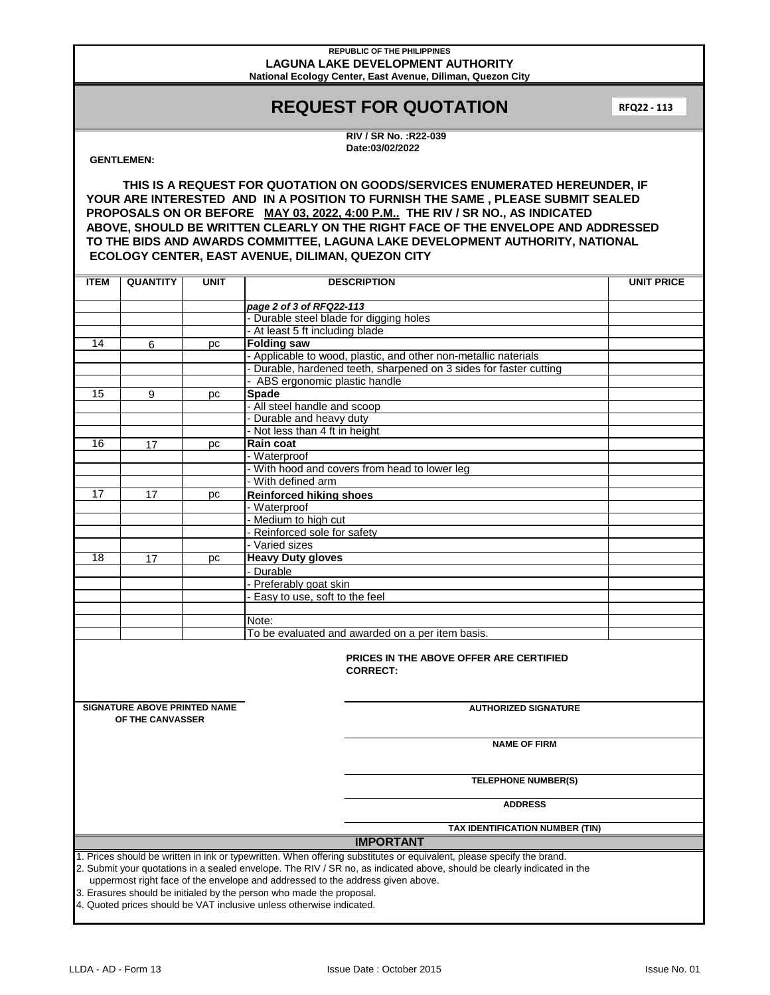#### **REPUBLIC OF THE PHILIPPINES LAGUNA LAKE DEVELOPMENT AUTHORITY National Ecology Center, East Avenue, Diliman, Quezon City**

# **REQUEST FOR QUOTATION**

**RFQ22 - 113**

**RIV / SR No. :R22-039 Date:03/02/2022**

### **GENTLEMEN:**

**THIS IS A REQUEST FOR QUOTATION ON GOODS/SERVICES ENUMERATED HEREUNDER, IF YOUR ARE INTERESTED AND IN A POSITION TO FURNISH THE SAME , PLEASE SUBMIT SEALED PROPOSALS ON OR BEFORE MAY 03, 2022, 4:00 P.M.. THE RIV / SR NO., AS INDICATED ABOVE, SHOULD BE WRITTEN CLEARLY ON THE RIGHT FACE OF THE ENVELOPE AND ADDRESSED TO THE BIDS AND AWARDS COMMITTEE, LAGUNA LAKE DEVELOPMENT AUTHORITY, NATIONAL ECOLOGY CENTER, EAST AVENUE, DILIMAN, QUEZON CITY**

| <b>ITEM</b>                                                                                                                                            | <b>QUANTITY</b>                     | <b>UNIT</b> | <b>DESCRIPTION</b>                                               | <b>UNIT PRICE</b> |  |  |  |  |
|--------------------------------------------------------------------------------------------------------------------------------------------------------|-------------------------------------|-------------|------------------------------------------------------------------|-------------------|--|--|--|--|
|                                                                                                                                                        |                                     |             | page 2 of 3 of RFQ22-113                                         |                   |  |  |  |  |
|                                                                                                                                                        |                                     |             | - Durable steel blade for digging holes                          |                   |  |  |  |  |
|                                                                                                                                                        |                                     |             | - At least 5 ft including blade                                  |                   |  |  |  |  |
| 14                                                                                                                                                     | 6                                   | рc          | <b>Folding saw</b>                                               |                   |  |  |  |  |
|                                                                                                                                                        |                                     |             | - Applicable to wood, plastic, and other non-metallic naterials  |                   |  |  |  |  |
|                                                                                                                                                        |                                     |             | Durable, hardened teeth, sharpened on 3 sides for faster cutting |                   |  |  |  |  |
|                                                                                                                                                        |                                     |             | ABS ergonomic plastic handle                                     |                   |  |  |  |  |
| 15                                                                                                                                                     | 9                                   | pc          | Spade                                                            |                   |  |  |  |  |
|                                                                                                                                                        |                                     |             | - All steel handle and scoop                                     |                   |  |  |  |  |
|                                                                                                                                                        |                                     |             | - Durable and heavy duty                                         |                   |  |  |  |  |
|                                                                                                                                                        |                                     |             | Not less than 4 ft in height                                     |                   |  |  |  |  |
| 16                                                                                                                                                     | 17                                  | pc          | <b>Rain coat</b>                                                 |                   |  |  |  |  |
|                                                                                                                                                        |                                     |             | - Waterproof                                                     |                   |  |  |  |  |
|                                                                                                                                                        |                                     |             | With hood and covers from head to lower leg                      |                   |  |  |  |  |
|                                                                                                                                                        |                                     |             | With defined arm                                                 |                   |  |  |  |  |
| 17                                                                                                                                                     | 17                                  | рc          | <b>Reinforced hiking shoes</b>                                   |                   |  |  |  |  |
|                                                                                                                                                        |                                     |             | - Waterproof                                                     |                   |  |  |  |  |
|                                                                                                                                                        |                                     |             | Medium to high cut                                               |                   |  |  |  |  |
|                                                                                                                                                        |                                     |             | Reinforced sole for safety                                       |                   |  |  |  |  |
|                                                                                                                                                        |                                     |             | - Varied sizes                                                   |                   |  |  |  |  |
| 18                                                                                                                                                     | 17                                  | pc          | <b>Heavy Duty gloves</b>                                         |                   |  |  |  |  |
|                                                                                                                                                        |                                     |             | - Durable                                                        |                   |  |  |  |  |
|                                                                                                                                                        |                                     |             | - Preferably goat skin                                           |                   |  |  |  |  |
|                                                                                                                                                        |                                     |             | Easy to use, soft to the feel                                    |                   |  |  |  |  |
|                                                                                                                                                        |                                     |             |                                                                  |                   |  |  |  |  |
|                                                                                                                                                        |                                     |             | Note:                                                            |                   |  |  |  |  |
|                                                                                                                                                        |                                     |             | To be evaluated and awarded on a per item basis.                 |                   |  |  |  |  |
|                                                                                                                                                        |                                     |             | PRICES IN THE ABOVE OFFER ARE CERTIFIED                          |                   |  |  |  |  |
|                                                                                                                                                        |                                     |             | <b>CORRECT:</b>                                                  |                   |  |  |  |  |
|                                                                                                                                                        |                                     |             |                                                                  |                   |  |  |  |  |
|                                                                                                                                                        |                                     |             |                                                                  |                   |  |  |  |  |
|                                                                                                                                                        | <b>SIGNATURE ABOVE PRINTED NAME</b> |             | <b>AUTHORIZED SIGNATURE</b>                                      |                   |  |  |  |  |
|                                                                                                                                                        | OF THE CANVASSER                    |             |                                                                  |                   |  |  |  |  |
|                                                                                                                                                        |                                     |             |                                                                  |                   |  |  |  |  |
|                                                                                                                                                        |                                     |             | <b>NAME OF FIRM</b>                                              |                   |  |  |  |  |
|                                                                                                                                                        |                                     |             |                                                                  |                   |  |  |  |  |
|                                                                                                                                                        |                                     |             |                                                                  |                   |  |  |  |  |
| <b>TELEPHONE NUMBER(S)</b>                                                                                                                             |                                     |             |                                                                  |                   |  |  |  |  |
|                                                                                                                                                        |                                     |             | <b>ADDRESS</b>                                                   |                   |  |  |  |  |
|                                                                                                                                                        |                                     |             |                                                                  |                   |  |  |  |  |
|                                                                                                                                                        |                                     |             | TAX IDENTIFICATION NUMBER (TIN)                                  |                   |  |  |  |  |
| <b>IMPORTANT</b>                                                                                                                                       |                                     |             |                                                                  |                   |  |  |  |  |
| 1. Prices should be written in ink or typewritten. When offering substitutes or equivalent, please specify the brand.                                  |                                     |             |                                                                  |                   |  |  |  |  |
| 2. Submit your quotations in a sealed envelope. The RIV / SR no, as indicated above, should be clearly indicated in the                                |                                     |             |                                                                  |                   |  |  |  |  |
| uppermost right face of the envelope and addressed to the address given above.<br>3. Erasures should be initialed by the person who made the proposal. |                                     |             |                                                                  |                   |  |  |  |  |
|                                                                                                                                                        |                                     |             |                                                                  |                   |  |  |  |  |
| 4. Quoted prices should be VAT inclusive unless otherwise indicated.                                                                                   |                                     |             |                                                                  |                   |  |  |  |  |